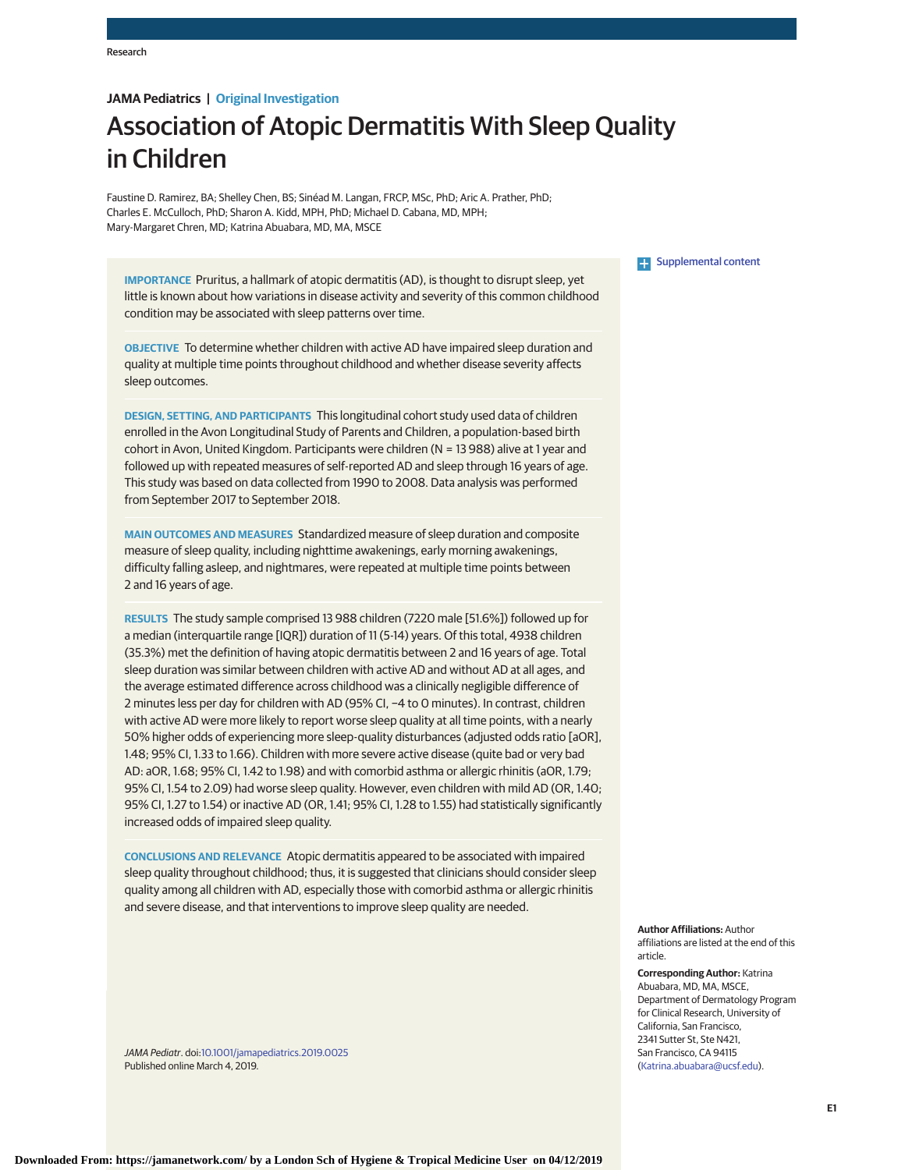# **JAMA Pediatrics | Original Investigation**

# Association of Atopic Dermatitis With Sleep Quality in Children

Faustine D. Ramirez, BA; Shelley Chen, BS; Sinéad M. Langan, FRCP, MSc, PhD; Aric A. Prather, PhD; Charles E. McCulloch, PhD; Sharon A. Kidd, MPH, PhD; Michael D. Cabana, MD, MPH; Mary-Margaret Chren, MD; Katrina Abuabara, MD, MA, MSCE

**IMPORTANCE** Pruritus, a hallmark of atopic dermatitis (AD), is thought to disrupt sleep, yet little is known about how variations in disease activity and severity of this common childhood condition may be associated with sleep patterns over time.

**OBJECTIVE** To determine whether children with active AD have impaired sleep duration and quality at multiple time points throughout childhood and whether disease severity affects sleep outcomes.

**DESIGN, SETTING, AND PARTICIPANTS** This longitudinal cohort study used data of children enrolled in the Avon Longitudinal Study of Parents and Children, a population-based birth cohort in Avon, United Kingdom. Participants were children (N = 13 988) alive at 1 year and followed up with repeated measures of self-reported AD and sleep through 16 years of age. This study was based on data collected from 1990 to 2008. Data analysis was performed from September 2017 to September 2018.

**MAIN OUTCOMES AND MEASURES** Standardized measure of sleep duration and composite measure of sleep quality, including nighttime awakenings, early morning awakenings, difficulty falling asleep, and nightmares, were repeated at multiple time points between 2 and 16 years of age.

**RESULTS** The study sample comprised 13 988 children (7220 male [51.6%]) followed up for a median (interquartile range [IQR]) duration of 11 (5-14) years. Of this total, 4938 children (35.3%) met the definition of having atopic dermatitis between 2 and 16 years of age. Total sleep duration was similar between children with active AD and without AD at all ages, and the average estimated difference across childhood was a clinically negligible difference of 2 minutes less per day for children with AD (95% CI, −4 to 0 minutes). In contrast, children with active AD were more likely to report worse sleep quality at all time points, with a nearly 50% higher odds of experiencing more sleep-quality disturbances (adjusted odds ratio [aOR], 1.48; 95% CI, 1.33 to 1.66). Children with more severe active disease (quite bad or very bad AD: aOR, 1.68; 95% CI, 1.42 to 1.98) and with comorbid asthma or allergic rhinitis (aOR, 1.79; 95% CI, 1.54 to 2.09) had worse sleep quality. However, even children with mild AD (OR, 1.40; 95% CI, 1.27 to 1.54) or inactive AD (OR, 1.41; 95% CI, 1.28 to 1.55) had statistically significantly increased odds of impaired sleep quality.

**CONCLUSIONS AND RELEVANCE** Atopic dermatitis appeared to be associated with impaired sleep quality throughout childhood; thus, it is suggested that clinicians should consider sleep quality among all children with AD, especially those with comorbid asthma or allergic rhinitis and severe disease, and that interventions to improve sleep quality are needed.

JAMA Pediatr. doi[:10.1001/jamapediatrics.2019.0025](https://jama.jamanetwork.com/article.aspx?doi=10.1001/jamapediatrics.2019.0025&utm_campaign=articlePDF%26utm_medium=articlePDFlink%26utm_source=articlePDF%26utm_content=jamapediatrics.2019.0025) Published online March 4, 2019.

#### **Examplemental content**

**Author Affiliations:** Author affiliations are listed at the end of this article.

#### **Corresponding Author:** Katrina Abuabara, MD, MA, MSCE, Department of Dermatology Program for Clinical Research, University of California, San Francisco, 2341 Sutter St, Ste N421, San Francisco, CA 94115 [\(Katrina.abuabara@ucsf.edu\)](mailto:Katrina.abuabara@ucsf.edu).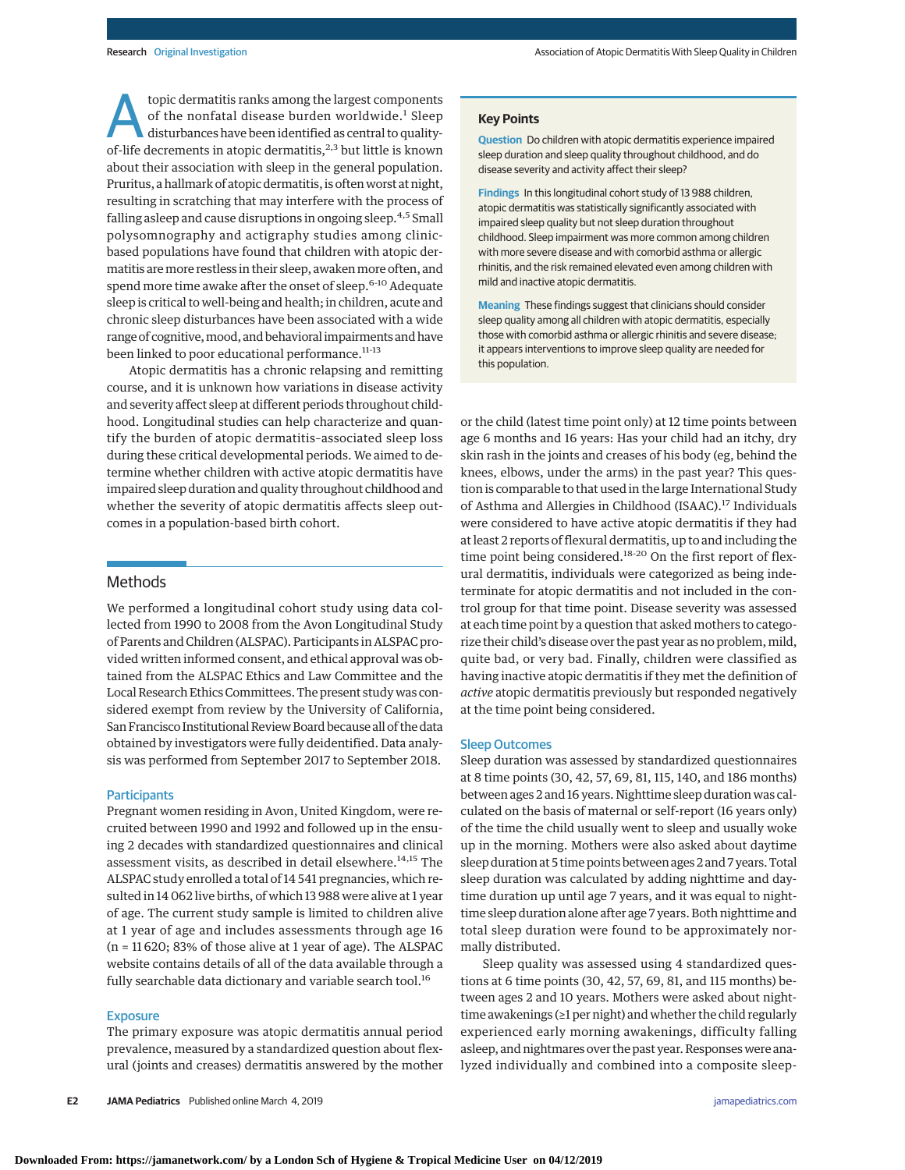topic dermatitis ranks among the largest components<br>of the nonfatal disease burden worldwide.<sup>1</sup> Sleep<br>disturbances have been identified as central to quality-<br>of life decrements in atopic dermatitie <sup>2,3</sup> but little is kn of the nonfatal disease burden worldwide.<sup>1</sup> Sleep of-life decrements in atopic dermatitis, $2,3$  but little is known about their association with sleep in the general population. Pruritus, a hallmark of atopic dermatitis, is often worst at night, resulting in scratching that may interfere with the process of falling asleep and cause disruptions in ongoing sleep.<sup>4,5</sup> Small polysomnography and actigraphy studies among clinicbased populations have found that children with atopic dermatitis are more restless in their sleep, awaken more often, and spend more time awake after the onset of sleep.<sup>6-10</sup> Adequate sleep is critical to well-being and health; in children, acute and chronic sleep disturbances have been associated with a wide range of cognitive, mood, and behavioral impairments and have been linked to poor educational performance.<sup>11-13</sup>

Atopic dermatitis has a chronic relapsing and remitting course, and it is unknown how variations in disease activity and severity affect sleep at different periods throughout childhood. Longitudinal studies can help characterize and quantify the burden of atopic dermatitis–associated sleep loss during these critical developmental periods. We aimed to determine whether children with active atopic dermatitis have impaired sleep duration and quality throughout childhood and whether the severity of atopic dermatitis affects sleep outcomes in a population-based birth cohort.

## Methods

We performed a longitudinal cohort study using data collected from 1990 to 2008 from the Avon Longitudinal Study of Parents and Children (ALSPAC). Participants in ALSPAC provided written informed consent, and ethical approval was obtained from the ALSPAC Ethics and Law Committee and the Local Research Ethics Committees. The present study was considered exempt from review by the University of California, San Francisco Institutional Review Board because all of the data obtained by investigators were fully deidentified. Data analysis was performed from September 2017 to September 2018.

#### **Participants**

Pregnant women residing in Avon, United Kingdom, were recruited between 1990 and 1992 and followed up in the ensuing 2 decades with standardized questionnaires and clinical assessment visits, as described in detail elsewhere.<sup>14,15</sup> The ALSPAC study enrolled a total of 14 541 pregnancies, which resulted in 14 062 live births, of which 13 988 were alive at 1 year of age. The current study sample is limited to children alive at 1 year of age and includes assessments through age 16 (n = 11 620; 83% of those alive at 1 year of age). The ALSPAC website contains details of all of the data available through a fully searchable data dictionary and variable search tool.<sup>16</sup>

### Exposure

The primary exposure was atopic dermatitis annual period prevalence, measured by a standardized question about flexural (joints and creases) dermatitis answered by the mother

**Downloaded From: https://jamanetwork.com/ by a London Sch of Hygiene & Tropical Medicine User on 04/12/2019**

**E2 JAMA Pediatrics** Published online March 4, 2019 **(Reprinted)** [jamapediatrics.com](http://www.jamapediatrics.com/?utm_campaign=articlePDF%26utm_medium=articlePDFlink%26utm_source=articlePDF%26utm_content=jamapediatrics.2019.0025)

#### **Key Points**

**Question** Do children with atopic dermatitis experience impaired sleep duration and sleep quality throughout childhood, and do disease severity and activity affect their sleep?

**Findings** In this longitudinal cohort study of 13 988 children, atopic dermatitis was statistically significantly associated with impaired sleep quality but not sleep duration throughout childhood. Sleep impairment was more common among children with more severe disease and with comorbid asthma or allergic rhinitis, and the risk remained elevated even among children with mild and inactive atopic dermatitis.

**Meaning** These findings suggest that clinicians should consider sleep quality among all children with atopic dermatitis, especially those with comorbid asthma or allergic rhinitis and severe disease; it appears interventions to improve sleep quality are needed for this population.

or the child (latest time point only) at 12 time points between age 6 months and 16 years: Has your child had an itchy, dry skin rash in the joints and creases of his body (eg, behind the knees, elbows, under the arms) in the past year? This question is comparable to that used in the large International Study of Asthma and Allergies in Childhood (ISAAC).<sup>17</sup> Individuals were considered to have active atopic dermatitis if they had at least 2 reports of flexural dermatitis, up to and including the time point being considered.<sup>18-20</sup> On the first report of flexural dermatitis, individuals were categorized as being indeterminate for atopic dermatitis and not included in the control group for that time point. Disease severity was assessed at each time point by a question that asked mothers to categorize their child's disease over the past year as no problem, mild, quite bad, or very bad. Finally, children were classified as having inactive atopic dermatitis if they met the definition of *active* atopic dermatitis previously but responded negatively at the time point being considered.

#### Sleep Outcomes

Sleep duration was assessed by standardized questionnaires at 8 time points (30, 42, 57, 69, 81, 115, 140, and 186 months) between ages 2 and 16 years. Nighttime sleep duration was calculated on the basis of maternal or self-report (16 years only) of the time the child usually went to sleep and usually woke up in the morning. Mothers were also asked about daytime sleep duration at 5 time points between ages 2 and 7 years. Total sleep duration was calculated by adding nighttime and daytime duration up until age 7 years, and it was equal to nighttime sleep duration alone after age 7 years. Both nighttime and total sleep duration were found to be approximately normally distributed.

Sleep quality was assessed using 4 standardized questions at 6 time points (30, 42, 57, 69, 81, and 115 months) between ages 2 and 10 years. Mothers were asked about nighttime awakenings (≥1 per night) and whether the child regularly experienced early morning awakenings, difficulty falling asleep, and nightmares over the past year. Responses were analyzed individually and combined into a composite sleep-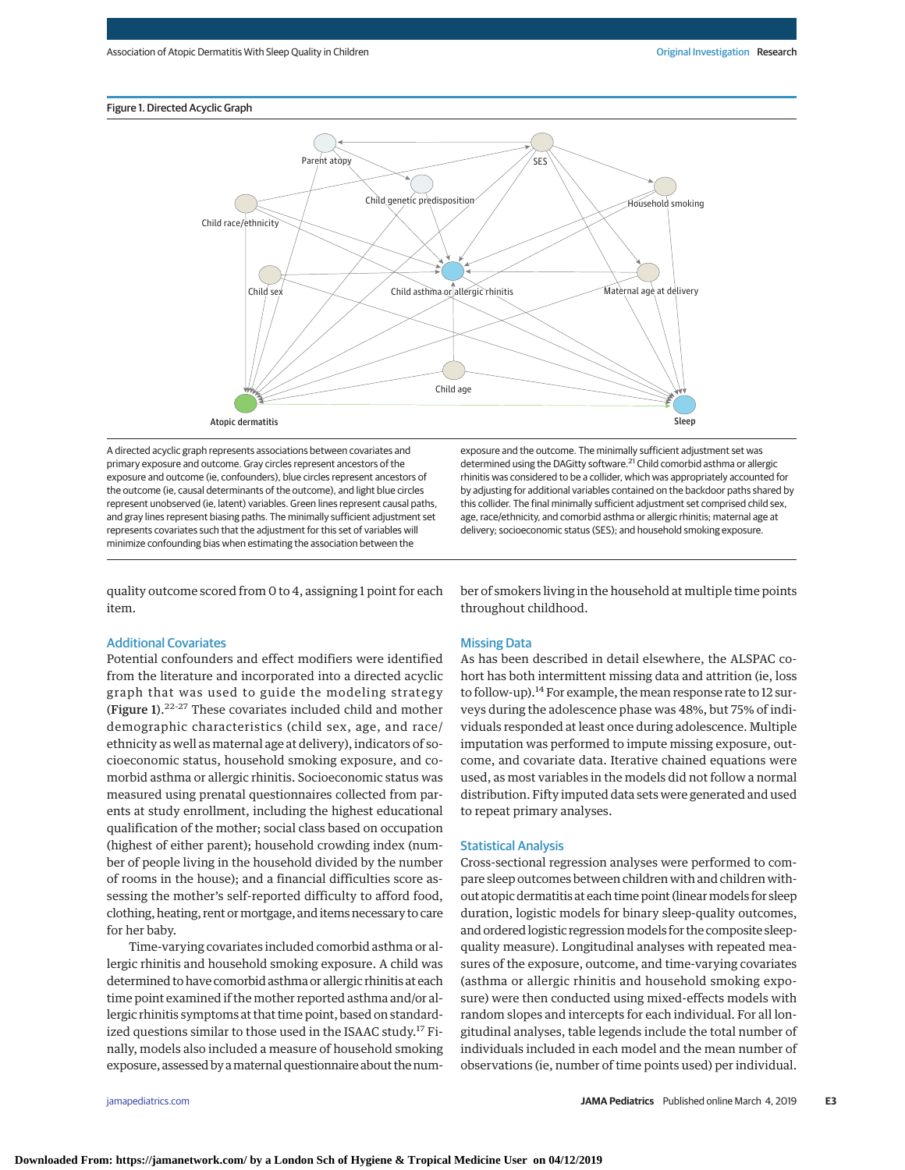# Figure 1. Directed Acyclic Graph



A directed acyclic graph represents associations between covariates and primary exposure and outcome. Gray circles represent ancestors of the exposure and outcome (ie, confounders), blue circles represent ancestors of the outcome (ie, causal determinants of the outcome), and light blue circles represent unobserved (ie, latent) variables. Green lines represent causal paths, and gray lines represent biasing paths. The minimally sufficient adjustment set represents covariates such that the adjustment for this set of variables will minimize confounding bias when estimating the association between the

quality outcome scored from 0 to 4, assigning 1 point for each item.

# Additional Covariates

Potential confounders and effect modifiers were identified from the literature and incorporated into a directed acyclic graph that was used to guide the modeling strategy (Figure 1). $22-27$  These covariates included child and mother demographic characteristics (child sex, age, and race/ ethnicity as well as maternal age at delivery), indicators of socioeconomic status, household smoking exposure, and comorbid asthma or allergic rhinitis. Socioeconomic status was measured using prenatal questionnaires collected from parents at study enrollment, including the highest educational qualification of the mother; social class based on occupation (highest of either parent); household crowding index (number of people living in the household divided by the number of rooms in the house); and a financial difficulties score assessing the mother's self-reported difficulty to afford food, clothing, heating, rent or mortgage, and items necessary to care for her baby.

Time-varying covariates included comorbid asthma or allergic rhinitis and household smoking exposure. A child was determined to have comorbid asthma or allergic rhinitis at each time point examined if the mother reported asthma and/or allergic rhinitis symptoms at that time point, based on standardized questions similar to those used in the ISAAC study.<sup>17</sup> Finally, models also included a measure of household smoking exposure, assessed by amaternal questionnaire about the num-

exposure and the outcome. The minimally sufficient adjustment set was determined using the DAGitty software.<sup>21</sup> Child comorbid asthma or allergic rhinitis was considered to be a collider, which was appropriately accounted for by adjusting for additional variables contained on the backdoor paths shared by this collider. The final minimally sufficient adjustment set comprised child sex, age, race/ethnicity, and comorbid asthma or allergic rhinitis; maternal age at delivery; socioeconomic status (SES); and household smoking exposure.

ber of smokers living in the household at multiple time points throughout childhood.

# Missing Data

As has been described in detail elsewhere, the ALSPAC cohort has both intermittent missing data and attrition (ie, loss to follow-up).<sup>14</sup> For example, the mean response rate to 12 surveys during the adolescence phase was 48%, but 75% of individuals responded at least once during adolescence. Multiple imputation was performed to impute missing exposure, outcome, and covariate data. Iterative chained equations were used, as most variables in the models did not follow a normal distribution. Fifty imputed data sets were generated and used to repeat primary analyses.

#### Statistical Analysis

Cross-sectional regression analyses were performed to compare sleep outcomes between children with and children without atopic dermatitis at each time point (linear models for sleep duration, logistic models for binary sleep-quality outcomes, and ordered logistic regression models for the composite sleepquality measure). Longitudinal analyses with repeated measures of the exposure, outcome, and time-varying covariates (asthma or allergic rhinitis and household smoking exposure) were then conducted using mixed-effects models with random slopes and intercepts for each individual. For all longitudinal analyses, table legends include the total number of individuals included in each model and the mean number of observations (ie, number of time points used) per individual.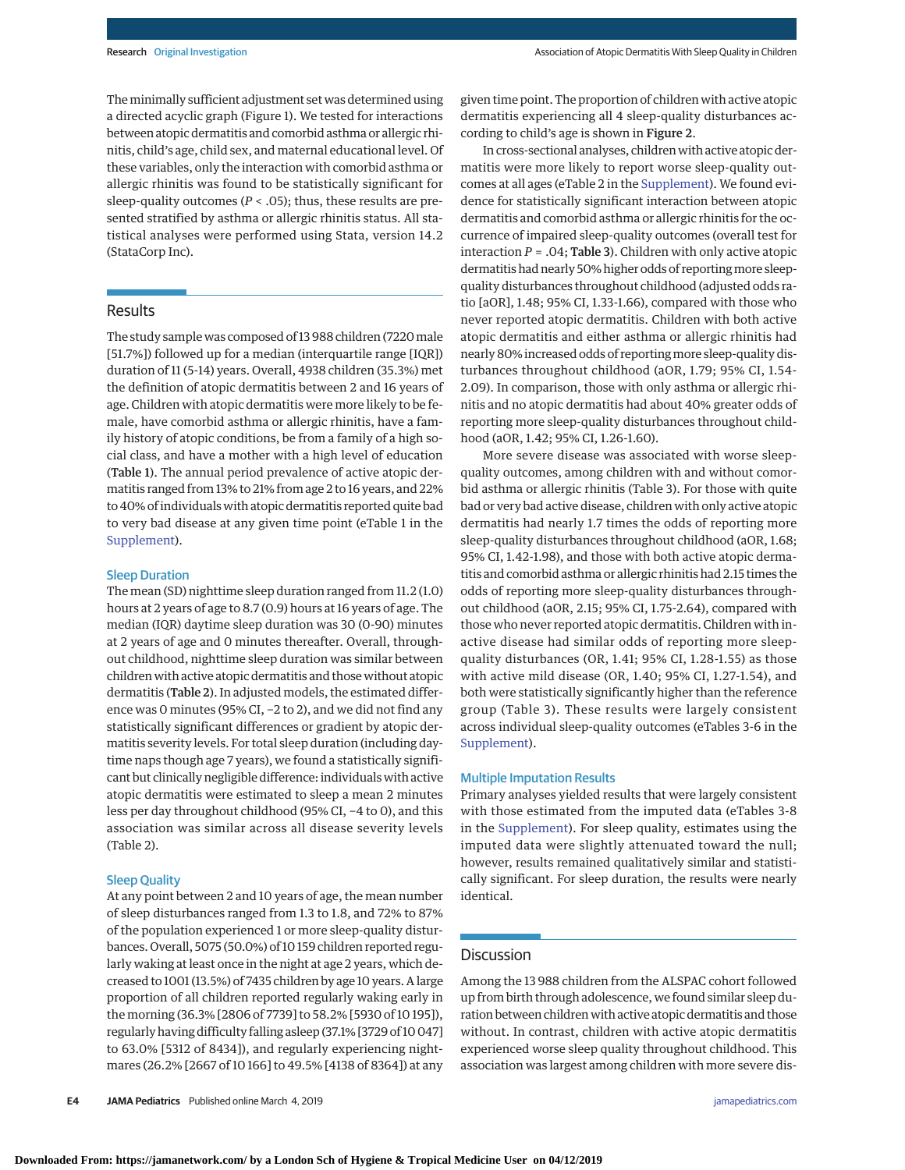The minimally sufficient adjustment set was determined using a directed acyclic graph (Figure 1). We tested for interactions between atopic dermatitis and comorbid asthma or allergic rhinitis, child's age, child sex, and maternal educational level. Of these variables, only the interaction with comorbid asthma or allergic rhinitis was found to be statistically significant for sleep-quality outcomes (*P* < .05); thus, these results are presented stratified by asthma or allergic rhinitis status. All statistical analyses were performed using Stata, version 14.2 (StataCorp Inc).

## Results

The study sample was composed of 13 988 children (7220male [51.7%]) followed up for a median (interquartile range [IQR]) duration of 11 (5-14) years. Overall, 4938 children (35.3%) met the definition of atopic dermatitis between 2 and 16 years of age. Children with atopic dermatitis were more likely to be female, have comorbid asthma or allergic rhinitis, have a family history of atopic conditions, be from a family of a high social class, and have a mother with a high level of education (Table 1). The annual period prevalence of active atopic dermatitis ranged from 13% to 21% from age 2 to 16 years, and 22% to 40% of individuals with atopic dermatitis reported quite bad to very bad disease at any given time point (eTable 1 in the [Supplement\)](https://jama.jamanetwork.com/article.aspx?doi=10.1001/jamapediatrics.2019.0025&utm_campaign=articlePDF%26utm_medium=articlePDFlink%26utm_source=articlePDF%26utm_content=jamapediatrics.2019.0025).

## Sleep Duration

The mean (SD) nighttime sleep duration ranged from 11.2 (1.0) hours at 2 years of age to 8.7 (0.9) hours at 16 years of age. The median (IQR) daytime sleep duration was 30 (0-90) minutes at 2 years of age and 0 minutes thereafter. Overall, throughout childhood, nighttime sleep duration was similar between children with active atopic dermatitis and those without atopic dermatitis (Table 2). In adjusted models, the estimated difference was 0 minutes (95% CI, −2 to 2), and we did not find any statistically significant differences or gradient by atopic dermatitis severity levels. For total sleep duration (including daytime naps though age 7 years), we found a statistically significant but clinically negligible difference: individuals with active atopic dermatitis were estimated to sleep a mean 2 minutes less per day throughout childhood (95% CI, −4 to 0), and this association was similar across all disease severity levels (Table 2).

#### Sleep Quality

At any point between 2 and 10 years of age, the mean number of sleep disturbances ranged from 1.3 to 1.8, and 72% to 87% of the population experienced 1 or more sleep-quality disturbances. Overall, 5075 (50.0%) of 10 159 children reported regularly waking at least once in the night at age 2 years, which decreased to 1001 (13.5%) of 7435 children by age 10 years. A large proportion of all children reported regularly waking early in the morning (36.3% [2806 of 7739] to 58.2% [5930 of 10 195]), regularly having difficulty falling asleep (37.1% [3729 of 10 047] to 63.0% [5312 of 8434]), and regularly experiencing nightmares (26.2% [2667 of 10 166] to 49.5% [4138 of 8364]) at any given time point. The proportion of children with active atopic dermatitis experiencing all 4 sleep-quality disturbances according to child's age is shown in Figure 2.

In cross-sectional analyses, children with active atopic dermatitis were more likely to report worse sleep-quality outcomes at all ages (eTable 2 in the [Supplement\)](https://jama.jamanetwork.com/article.aspx?doi=10.1001/jamapediatrics.2019.0025&utm_campaign=articlePDF%26utm_medium=articlePDFlink%26utm_source=articlePDF%26utm_content=jamapediatrics.2019.0025). We found evidence for statistically significant interaction between atopic dermatitis and comorbid asthma or allergic rhinitis for the occurrence of impaired sleep-quality outcomes (overall test for interaction  $P = .04$ ; Table 3). Children with only active atopic dermatitis had nearly 50% higher odds of reporting more sleepquality disturbances throughout childhood (adjusted odds ratio [aOR], 1.48; 95% CI, 1.33-1.66), compared with those who never reported atopic dermatitis. Children with both active atopic dermatitis and either asthma or allergic rhinitis had nearly 80% increased odds of reportingmore sleep-quality disturbances throughout childhood (aOR, 1.79; 95% CI, 1.54- 2.09). In comparison, those with only asthma or allergic rhinitis and no atopic dermatitis had about 40% greater odds of reporting more sleep-quality disturbances throughout childhood (aOR, 1.42; 95% CI, 1.26-1.60).

More severe disease was associated with worse sleepquality outcomes, among children with and without comorbid asthma or allergic rhinitis (Table 3). For those with quite bad or very bad active disease, children with only active atopic dermatitis had nearly 1.7 times the odds of reporting more sleep-quality disturbances throughout childhood (aOR, 1.68; 95% CI, 1.42-1.98), and those with both active atopic dermatitis and comorbid asthma or allergic rhinitis had 2.15 times the odds of reporting more sleep-quality disturbances throughout childhood (aOR, 2.15; 95% CI, 1.75-2.64), compared with those who never reported atopic dermatitis. Children with inactive disease had similar odds of reporting more sleepquality disturbances (OR, 1.41; 95% CI, 1.28-1.55) as those with active mild disease (OR, 1.40; 95% CI, 1.27-1.54), and both were statistically significantly higher than the reference group (Table 3). These results were largely consistent across individual sleep-quality outcomes (eTables 3-6 in the [Supplement\)](https://jama.jamanetwork.com/article.aspx?doi=10.1001/jamapediatrics.2019.0025&utm_campaign=articlePDF%26utm_medium=articlePDFlink%26utm_source=articlePDF%26utm_content=jamapediatrics.2019.0025).

#### Multiple Imputation Results

Primary analyses yielded results that were largely consistent with those estimated from the imputed data (eTables 3-8 in the [Supplement\)](https://jama.jamanetwork.com/article.aspx?doi=10.1001/jamapediatrics.2019.0025&utm_campaign=articlePDF%26utm_medium=articlePDFlink%26utm_source=articlePDF%26utm_content=jamapediatrics.2019.0025). For sleep quality, estimates using the imputed data were slightly attenuated toward the null; however, results remained qualitatively similar and statistically significant. For sleep duration, the results were nearly identical.

## Discussion

Among the 13 988 children from the ALSPAC cohort followed up from birth through adolescence, we found similar sleep duration between children with active atopic dermatitis and those without. In contrast, children with active atopic dermatitis experienced worse sleep quality throughout childhood. This association was largest among children with more severe dis-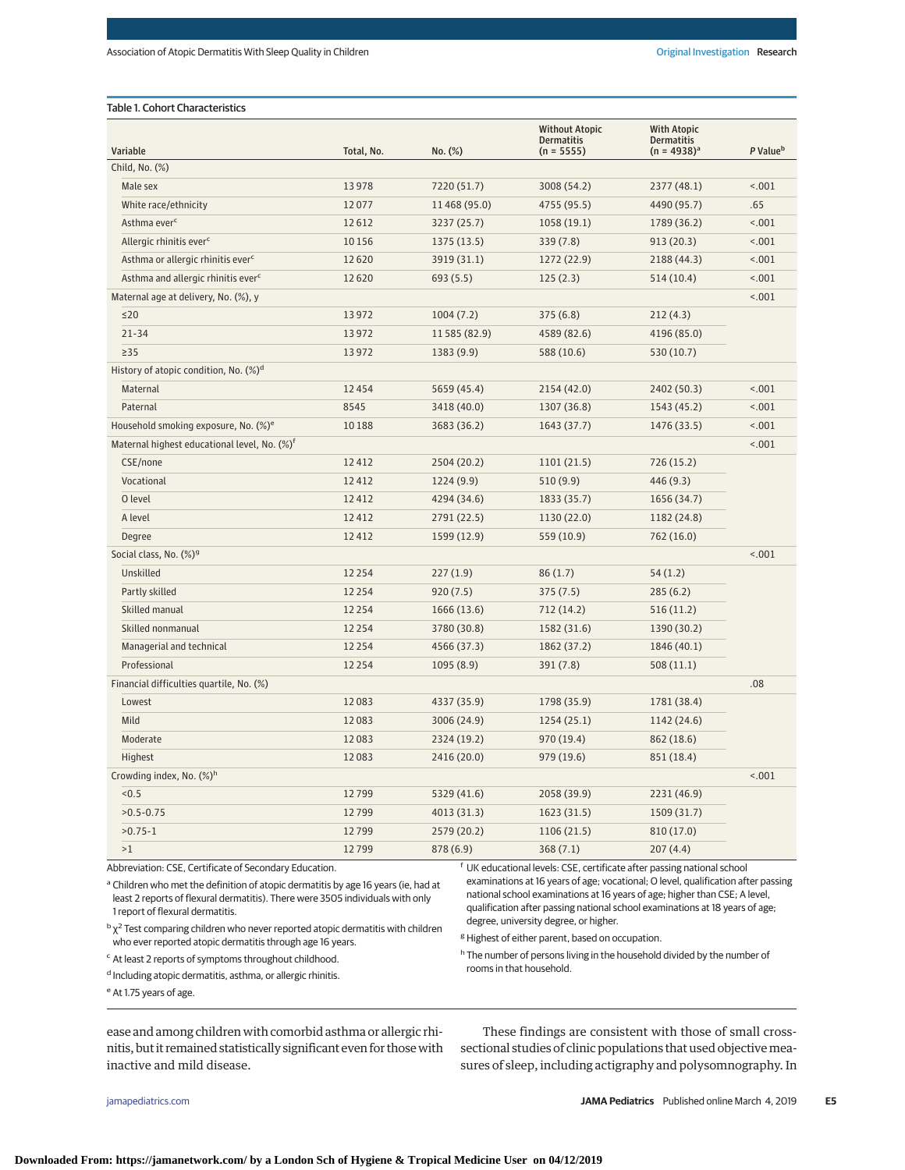| Variable                                                 | Total, No. | No. (%)       | <b>Without Atopic</b><br><b>Dermatitis</b><br>$(n = 5555)$ | <b>With Atopic</b><br><b>Dermatitis</b><br>$(n = 4938)^{a}$ | P Value <sup>b</sup> |
|----------------------------------------------------------|------------|---------------|------------------------------------------------------------|-------------------------------------------------------------|----------------------|
| Child, No. (%)                                           |            |               |                                                            |                                                             |                      |
| Male sex                                                 | 13978      | 7220 (51.7)   | 3008 (54.2)                                                | 2377 (48.1)                                                 | < .001               |
| White race/ethnicity                                     | 12077      | 11 468 (95.0) | 4755 (95.5)                                                | 4490 (95.7)                                                 | .65                  |
| Asthma ever <sup>c</sup>                                 | 12612      | 3237 (25.7)   | 1058(19.1)                                                 | 1789 (36.2)                                                 | < .001               |
| Allergic rhinitis ever <sup>c</sup>                      | 10 15 6    | 1375 (13.5)   | 339(7.8)                                                   | 913 (20.3)                                                  | < .001               |
| Asthma or allergic rhinitis ever <sup>c</sup>            | 12 6 20    | 3919 (31.1)   | 1272 (22.9)                                                | 2188 (44.3)                                                 | < .001               |
| Asthma and allergic rhinitis ever <sup>c</sup>           | 12620      | 693 (5.5)     | 125(2.3)                                                   | 514 (10.4)                                                  | < .001               |
| Maternal age at delivery, No. (%), y                     |            |               |                                                            |                                                             | < .001               |
| $\leq$ 20                                                | 13972      | 1004(7.2)     | 375(6.8)                                                   | 212 (4.3)                                                   |                      |
| $21 - 34$                                                | 13972      | 11 585 (82.9) | 4589 (82.6)                                                | 4196 (85.0)                                                 |                      |
| $\geq$ 35                                                | 13972      | 1383(9.9)     | 588 (10.6)                                                 | 530 (10.7)                                                  |                      |
| History of atopic condition, No. $(\%)^d$                |            |               |                                                            |                                                             |                      |
| Maternal                                                 | 12 4 5 4   | 5659 (45.4)   | 2154 (42.0)                                                | 2402 (50.3)                                                 | < .001               |
| Paternal                                                 | 8545       | 3418 (40.0)   | 1307 (36.8)                                                | 1543 (45.2)                                                 | 18.001               |
| Household smoking exposure, No. (%) <sup>e</sup>         | 10 188     | 3683 (36.2)   | 1643 (37.7)                                                | 1476 (33.5)                                                 | < .001               |
| Maternal highest educational level, No. $(\%)^{\dagger}$ |            |               |                                                            |                                                             | < .001               |
| CSE/none                                                 | 12 4 12    | 2504 (20.2)   | 1101 (21.5)                                                | 726 (15.2)                                                  |                      |
| Vocational                                               | 12 4 12    | 1224(9.9)     | 510 (9.9)                                                  | 446 (9.3)                                                   |                      |
| O level                                                  | 12 4 12    | 4294 (34.6)   | 1833 (35.7)                                                | 1656 (34.7)                                                 |                      |
| A level                                                  | 12 4 12    | 2791 (22.5)   | 1130 (22.0)                                                | 1182 (24.8)                                                 |                      |
| Degree                                                   | 12 4 12    | 1599 (12.9)   | 559 (10.9)                                                 | 762 (16.0)                                                  |                      |
| Social class, No. (%) <sup>9</sup>                       |            |               |                                                            |                                                             | < .001               |
| Unskilled                                                | 12 2 5 4   | 227(1.9)      | 86(1.7)                                                    | 54(1.2)                                                     |                      |
| Partly skilled                                           | 12 2 5 4   | 920(7.5)      | 375(7.5)                                                   | 285(6.2)                                                    |                      |
| Skilled manual                                           | 12 2 5 4   | 1666 (13.6)   | 712 (14.2)                                                 | 516(11.2)                                                   |                      |
| Skilled nonmanual                                        | 12 2 5 4   | 3780 (30.8)   | 1582 (31.6)                                                | 1390 (30.2)                                                 |                      |
| Managerial and technical                                 | 12 2 5 4   | 4566 (37.3)   | 1862 (37.2)                                                | 1846 (40.1)                                                 |                      |
| Professional                                             | 12 2 5 4   | 1095(8.9)     | 391(7.8)                                                   | 508(11.1)                                                   |                      |
| Financial difficulties quartile, No. (%)                 |            |               |                                                            |                                                             | .08                  |
| Lowest                                                   | 12083      | 4337 (35.9)   | 1798 (35.9)                                                | 1781 (38.4)                                                 |                      |
| Mild                                                     | 12083      | 3006 (24.9)   | 1254(25.1)                                                 | 1142 (24.6)                                                 |                      |
| Moderate                                                 | 12083      | 2324 (19.2)   | 970 (19.4)                                                 | 862 (18.6)                                                  |                      |
| Highest                                                  | 12083      | 2416 (20.0)   | 979 (19.6)                                                 | 851 (18.4)                                                  |                      |
| Crowding index, No. (%) <sup>h</sup>                     |            |               |                                                            |                                                             | < .001               |
| < 0.5                                                    | 12799      | 5329 (41.6)   | 2058 (39.9)                                                | 2231 (46.9)                                                 |                      |
| $>0.5 - 0.75$                                            | 12799      | 4013 (31.3)   | 1623 (31.5)                                                | 1509 (31.7)                                                 |                      |
| $>0.75 - 1$                                              | 12799      | 2579 (20.2)   | 1106 (21.5)                                                | 810 (17.0)                                                  |                      |
| >1                                                       | 12799      | 878 (6.9)     | 368(7.1)                                                   | 207(4.4)                                                    |                      |

Abbreviation: CSE, Certificate of Secondary Education.

<sup>a</sup> Children who met the definition of atopic dermatitis by age 16 years (ie, had at least 2 reports of flexural dermatitis). There were 3505 individuals with only 1 report of flexural dermatitis.

 $b \chi^2$  Test comparing children who never reported atopic dermatitis with children who ever reported atopic dermatitis through age 16 years.

<sup>c</sup> At least 2 reports of symptoms throughout childhood.

d Including atopic dermatitis, asthma, or allergic rhinitis.

<sup>e</sup> At 1.75 years of age.

<sup>f</sup> UK educational levels: CSE, certificate after passing national school examinations at 16 years of age; vocational; O level, qualification after passing national school examinations at 16 years of age; higher than CSE; A level, qualification after passing national school examinations at 18 years of age; degree, university degree, or higher.

<sup>g</sup> Highest of either parent, based on occupation.

h The number of persons living in the household divided by the number of rooms in that household.

ease and among children with comorbid asthma or allergic rhinitis, but it remained statistically significant even for thosewith inactive and mild disease.

These findings are consistent with those of small crosssectional studies of clinic populations that used objective measures of sleep, including actigraphy and polysomnography. In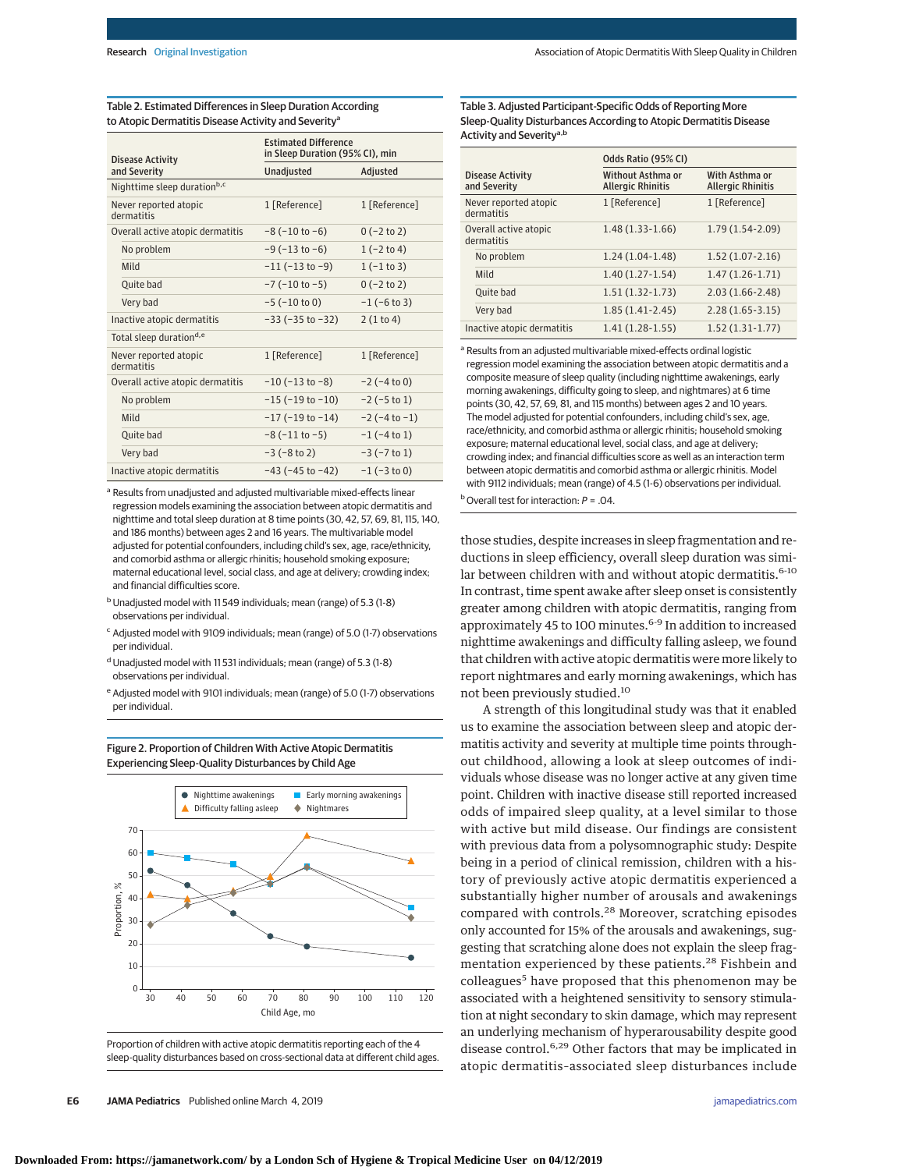Table 2. Estimated Differences in Sleep Duration According to Atopic Dermatitis Disease Activity and Severity<sup>a</sup>

| <b>Disease Activity</b>             | <b>Estimated Difference</b><br>in Sleep Duration (95% CI), min |                       |  |  |
|-------------------------------------|----------------------------------------------------------------|-----------------------|--|--|
| and Severity                        | <b>Unadjusted</b>                                              | Adjusted              |  |  |
| Nighttime sleep durationb,c         |                                                                |                       |  |  |
| Never reported atopic<br>dermatitis | 1 [Reference]                                                  | 1 [Reference]         |  |  |
| Overall active atopic dermatitis    | $-8 (-10 to -6)$                                               | $0$ (-2 to 2)         |  |  |
| No problem                          | $-9(-13 \text{ to } -6)$                                       | $1(-2 to 4)$          |  |  |
| Mild                                | $-11$ ( $-13$ to $-9$ )                                        | $1(-1 to 3)$          |  |  |
| Quite bad                           | $-7$ ( $-10$ to $-5$ )                                         | $0$ (-2 to 2)         |  |  |
| Very bad                            | $-5$ ( $-10$ to 0)                                             | $-1$ ( $-6$ to 3)     |  |  |
| Inactive atopic dermatitis          | $-33$ ( $-35$ to $-32$ )                                       | 2(1 to 4)             |  |  |
| Total sleep durationd,e             |                                                                |                       |  |  |
| Never reported atopic<br>dermatitis | 1 [Reference]                                                  | 1 [Reference]         |  |  |
| Overall active atopic dermatitis    | $-10$ ( $-13$ to $-8$ )                                        | $-2$ ( $-4$ to 0)     |  |  |
| No problem                          | $-15$ ( $-19$ to $-10$ )                                       | $-2$ ( $-5$ to 1)     |  |  |
| Mild                                | $-17$ ( $-19$ to $-14$ )                                       | $-2$ ( $-4$ to $-1$ ) |  |  |
| Quite bad                           | $-8$ ( $-11$ to $-5$ )                                         | $-1$ ( $-4$ to 1)     |  |  |
| Very bad                            | $-3(-8 to 2)$                                                  | $-3$ ( $-7$ to 1)     |  |  |
| Inactive atopic dermatitis          | $-43$ ( $-45$ to $-42$ )                                       | $-1$ ( $-3$ to 0)     |  |  |

<sup>a</sup> Results from unadjusted and adjusted multivariable mixed-effects linear regression models examining the association between atopic dermatitis and nighttime and total sleep duration at 8 time points (30, 42, 57, 69, 81, 115, 140, and 186 months) between ages 2 and 16 years. The multivariable model adjusted for potential confounders, including child's sex, age, race/ethnicity, and comorbid asthma or allergic rhinitis; household smoking exposure; maternal educational level, social class, and age at delivery; crowding index; and financial difficulties score.

- bUnadjusted model with 11 549 individuals; mean (range) of 5.3 (1-8) observations per individual.
- <sup>c</sup> Adjusted model with 9109 individuals; mean (range) of 5.0 (1-7) observations per individual.
- <sup>d</sup> Unadjusted model with 11531 individuals; mean (range) of 5.3 (1-8) observations per individual.
- <sup>e</sup> Adjusted model with 9101 individuals; mean (range) of 5.0 (1-7) observations per individual.



Figure 2. Proportion of Children With Active Atopic Dermatitis Experiencing Sleep-Quality Disturbances by Child Age

Proportion of children with active atopic dermatitis reporting each of the 4 sleep-quality disturbances based on cross-sectional data at different child ages. Table 3. Adjusted Participant-Specific Odds of Reporting More Sleep-Quality Disturbances According to Atopic Dermatitis Disease Activity and Severity<sup>a,b</sup>

|                                         | Odds Ratio (95% CI)                           |                                            |  |
|-----------------------------------------|-----------------------------------------------|--------------------------------------------|--|
| <b>Disease Activity</b><br>and Severity | Without Asthma or<br><b>Allergic Rhinitis</b> | With Asthma or<br><b>Allergic Rhinitis</b> |  |
| Never reported atopic<br>dermatitis     | 1 [Reference]                                 | 1 [Reference]                              |  |
| Overall active atopic<br>dermatitis     | $1.48(1.33-1.66)$                             | $1.79(1.54-2.09)$                          |  |
| No problem                              | $1.24(1.04-1.48)$                             | $1.52(1.07 - 2.16)$                        |  |
| Mild                                    | $1.40(1.27-1.54)$                             | $1.47(1.26-1.71)$                          |  |
| Ouite bad                               | $1.51(1.32-1.73)$                             | $2.03(1.66 - 2.48)$                        |  |
| Very bad                                | $1.85(1.41-2.45)$                             | $2.28(1.65-3.15)$                          |  |
| Inactive atopic dermatitis              | $1.41(1.28-1.55)$                             | $1.52(1.31-1.77)$                          |  |

<sup>a</sup> Results from an adjusted multivariable mixed-effects ordinal logistic regression model examining the association between atopic dermatitis and a composite measure of sleep quality (including nighttime awakenings, early morning awakenings, difficulty going to sleep, and nightmares) at 6 time points (30, 42, 57, 69, 81, and 115 months) between ages 2 and 10 years. The model adjusted for potential confounders, including child's sex, age, race/ethnicity, and comorbid asthma or allergic rhinitis; household smoking exposure; maternal educational level, social class, and age at delivery; crowding index; and financial difficulties score as well as an interaction term between atopic dermatitis and comorbid asthma or allergic rhinitis. Model with 9112 individuals; mean (range) of 4.5 (1-6) observations per individual.  $b$  Overall test for interaction:  $P = .04$ .

those studies, despite increases in sleep fragmentation and reductions in sleep efficiency, overall sleep duration was similar between children with and without atopic dermatitis. $6-10$ In contrast, time spent awake after sleep onset is consistently greater among children with atopic dermatitis, ranging from approximately 45 to 100 minutes.<sup>6-9</sup> In addition to increased nighttime awakenings and difficulty falling asleep, we found that children with active atopic dermatitis were more likely to report nightmares and early morning awakenings, which has not been previously studied.<sup>10</sup>

A strength of this longitudinal study was that it enabled us to examine the association between sleep and atopic dermatitis activity and severity at multiple time points throughout childhood, allowing a look at sleep outcomes of individuals whose disease was no longer active at any given time point. Children with inactive disease still reported increased odds of impaired sleep quality, at a level similar to those with active but mild disease. Our findings are consistent with previous data from a polysomnographic study: Despite being in a period of clinical remission, children with a history of previously active atopic dermatitis experienced a substantially higher number of arousals and awakenings compared with controls.<sup>28</sup> Moreover, scratching episodes only accounted for 15% of the arousals and awakenings, suggesting that scratching alone does not explain the sleep fragmentation experienced by these patients.<sup>28</sup> Fishbein and colleagues<sup>5</sup> have proposed that this phenomenon may be associated with a heightened sensitivity to sensory stimulation at night secondary to skin damage, which may represent an underlying mechanism of hyperarousability despite good disease control.<sup>6,29</sup> Other factors that may be implicated in atopic dermatitis–associated sleep disturbances include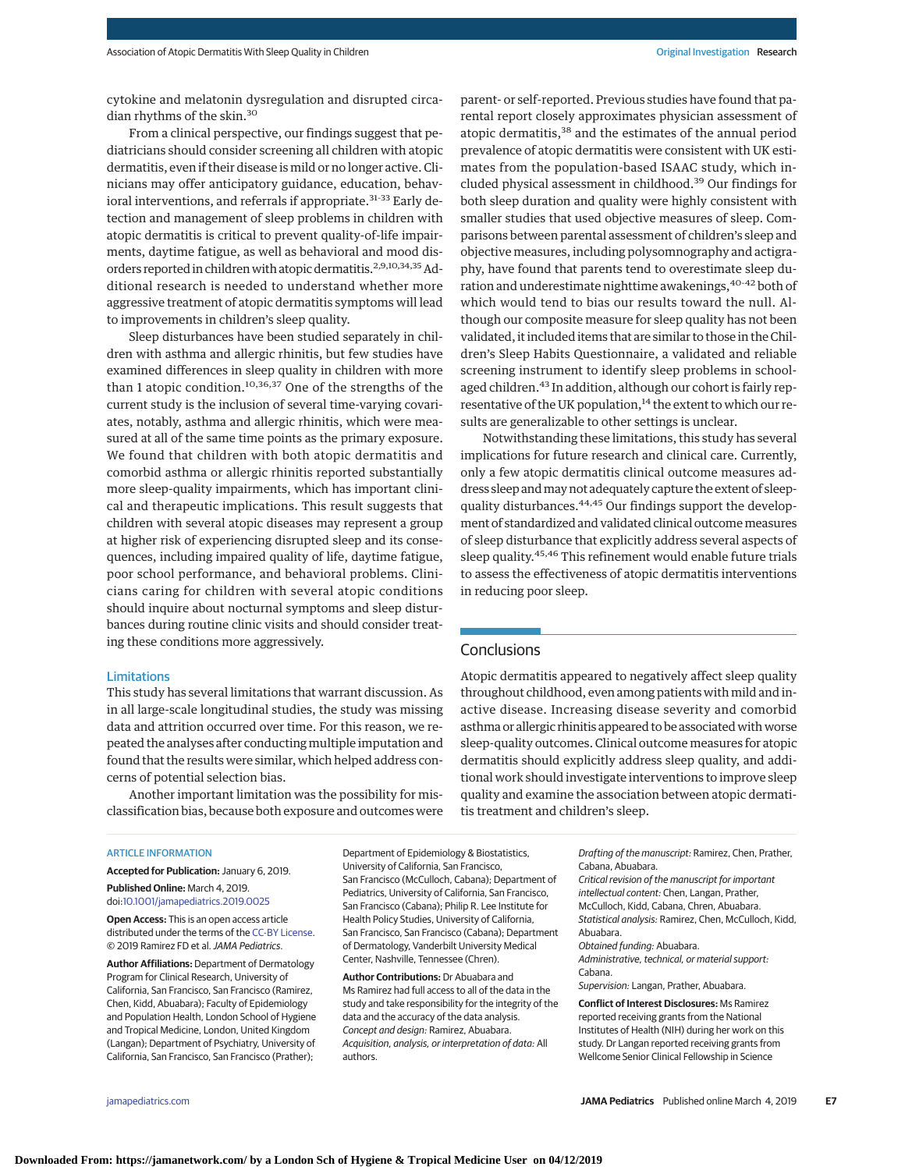cytokine and melatonin dysregulation and disrupted circadian rhythms of the skin.<sup>30</sup>

From a clinical perspective, our findings suggest that pediatricians should consider screening all children with atopic dermatitis, even if their disease is mild or no longer active. Clinicians may offer anticipatory guidance, education, behavioral interventions, and referrals if appropriate.<sup>31-33</sup> Early detection and management of sleep problems in children with atopic dermatitis is critical to prevent quality-of-life impairments, daytime fatigue, as well as behavioral and mood disorders reported in children with atopic dermatitis.<sup>2,9,10,34,35</sup> Additional research is needed to understand whether more aggressive treatment of atopic dermatitis symptoms will lead to improvements in children's sleep quality.

Sleep disturbances have been studied separately in children with asthma and allergic rhinitis, but few studies have examined differences in sleep quality in children with more than 1 atopic condition.10,36,37 One of the strengths of the current study is the inclusion of several time-varying covariates, notably, asthma and allergic rhinitis, which were measured at all of the same time points as the primary exposure. We found that children with both atopic dermatitis and comorbid asthma or allergic rhinitis reported substantially more sleep-quality impairments, which has important clinical and therapeutic implications. This result suggests that children with several atopic diseases may represent a group at higher risk of experiencing disrupted sleep and its consequences, including impaired quality of life, daytime fatigue, poor school performance, and behavioral problems. Clinicians caring for children with several atopic conditions should inquire about nocturnal symptoms and sleep disturbances during routine clinic visits and should consider treating these conditions more aggressively.

#### Limitations

This study has several limitations that warrant discussion. As in all large-scale longitudinal studies, the study was missing data and attrition occurred over time. For this reason, we repeated the analyses after conducting multiple imputation and found that the results were similar, which helped address concerns of potential selection bias.

Another important limitation was the possibility for misclassification bias, because both exposure and outcomes were parent- or self-reported. Previous studies have found that parental report closely approximates physician assessment of atopic dermatitis,<sup>38</sup> and the estimates of the annual period prevalence of atopic dermatitis were consistent with UK estimates from the population-based ISAAC study, which included physical assessment in childhood.<sup>39</sup> Our findings for both sleep duration and quality were highly consistent with smaller studies that used objective measures of sleep. Comparisons between parental assessment of children's sleep and objective measures, including polysomnography and actigraphy, have found that parents tend to overestimate sleep duration and underestimate nighttime awakenings, <sup>40-42</sup> both of which would tend to bias our results toward the null. Although our composite measure for sleep quality has not been validated, it included items that are similar to those in the Children's Sleep Habits Questionnaire, a validated and reliable screening instrument to identify sleep problems in schoolaged children.<sup>43</sup> In addition, although our cohort is fairly representative of the UK population,<sup>14</sup> the extent to which our results are generalizable to other settings is unclear.

Notwithstanding these limitations, this study has several implications for future research and clinical care. Currently, only a few atopic dermatitis clinical outcome measures address sleep and may not adequately capture the extent of sleepquality disturbances.<sup>44,45</sup> Our findings support the development of standardized and validated clinical outcomemeasures of sleep disturbance that explicitly address several aspects of sleep quality.45,46 This refinement would enable future trials to assess the effectiveness of atopic dermatitis interventions in reducing poor sleep.

# **Conclusions**

Atopic dermatitis appeared to negatively affect sleep quality throughout childhood, even among patients with mild and inactive disease. Increasing disease severity and comorbid asthma or allergic rhinitis appeared to be associated with worse sleep-quality outcomes. Clinical outcome measures for atopic dermatitis should explicitly address sleep quality, and additional work should investigate interventions to improve sleep quality and examine the association between atopic dermatitis treatment and children's sleep.

#### ARTICLE INFORMATION

**Accepted for Publication:** January 6, 2019. **Published Online:** March 4, 2019.

doi[:10.1001/jamapediatrics.2019.0025](https://jama.jamanetwork.com/article.aspx?doi=10.1001/jamapediatrics.2019.0025&utm_campaign=articlePDF%26utm_medium=articlePDFlink%26utm_source=articlePDF%26utm_content=jamapediatrics.2019.0025) **Open Access:** This is an open access article

distributed under the terms of the [CC-BY License.](https://jamanetwork.com/journals/jamapediatrics/pages/instructions-for-authors/?utm_campaign=articlePDF%26utm_medium=articlePDFlink%26utm_source=articlePDF%26utm_content=jamapediatrics.2019.0025#SecOpenAccess) © 2019 Ramirez FD et al.JAMA Pediatrics.

**Author Affiliations:** Department of Dermatology Program for Clinical Research, University of California, San Francisco, San Francisco (Ramirez, Chen, Kidd, Abuabara); Faculty of Epidemiology and Population Health, London School of Hygiene and Tropical Medicine, London, United Kingdom (Langan); Department of Psychiatry, University of California, San Francisco, San Francisco (Prather);

Department of Epidemiology & Biostatistics, University of California, San Francisco, San Francisco (McCulloch, Cabana); Department of Pediatrics, University of California, San Francisco, San Francisco (Cabana); Philip R. Lee Institute for Health Policy Studies, University of California, San Francisco, San Francisco (Cabana); Department of Dermatology, Vanderbilt University Medical Center, Nashville, Tennessee (Chren).

**Author Contributions:** Dr Abuabara and Ms Ramirez had full access to all of the data in the study and take responsibility for the integrity of the data and the accuracy of the data analysis. Concept and design: Ramirez, Abuabara. Acquisition, analysis, or interpretation of data: All authors.

Drafting of the manuscript: Ramirez, Chen, Prather, Cabana, Abuabara.

Critical revision of the manuscript for important intellectual content: Chen, Langan, Prather, McCulloch, Kidd, Cabana, Chren, Abuabara. Statistical analysis: Ramirez, Chen, McCulloch, Kidd, Abuabara. Obtained funding: Abuabara. Administrative, technical, or material support: Cabana. Supervision: Langan, Prather, Abuabara.

**Conflict of Interest Disclosures:** Ms Ramirez reported receiving grants from the National Institutes of Health (NIH) during her work on this study. Dr Langan reported receiving grants from Wellcome Senior Clinical Fellowship in Science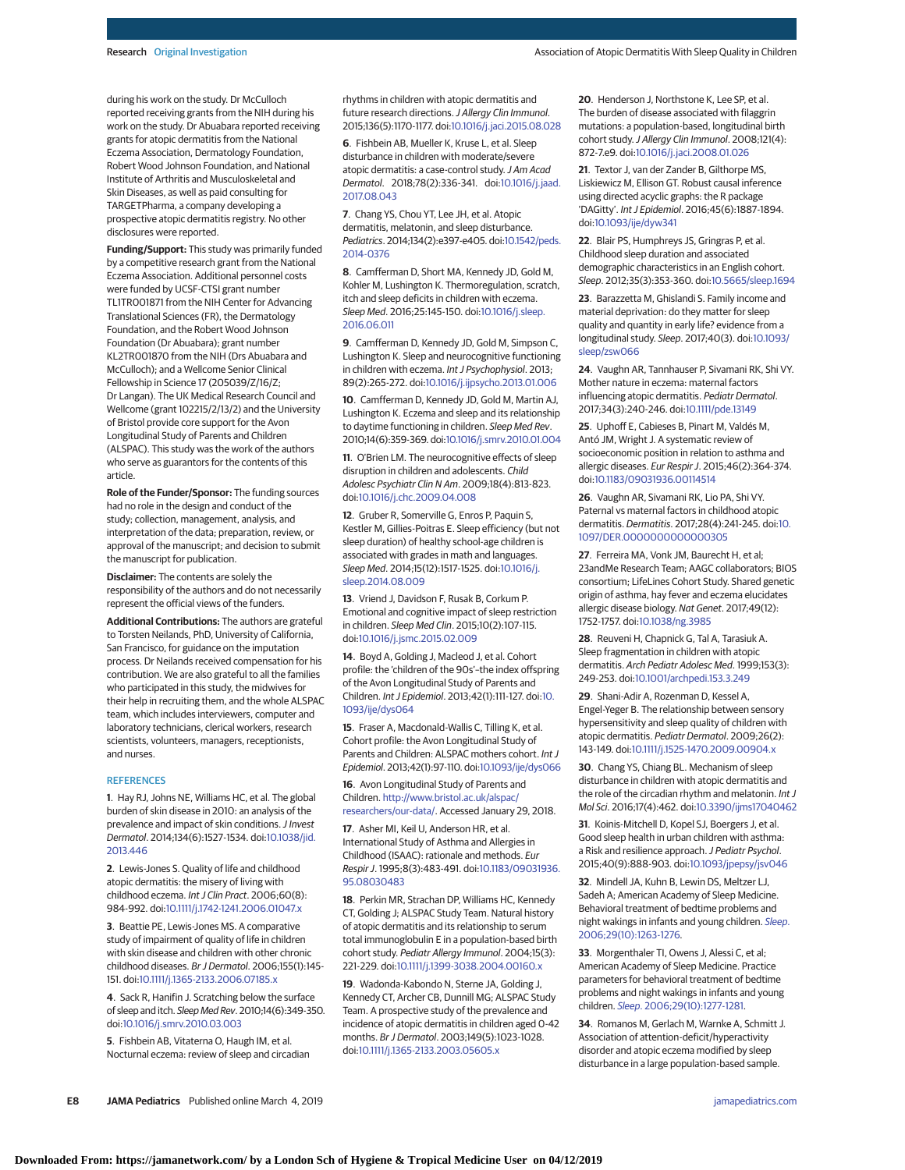during his work on the study. Dr McCulloch reported receiving grants from the NIH during his work on the study. Dr Abuabara reported receiving grants for atopic dermatitis from the National Eczema Association, Dermatology Foundation, Robert Wood Johnson Foundation, and National Institute of Arthritis and Musculoskeletal and Skin Diseases, as well as paid consulting for TARGETPharma, a company developing a prospective atopic dermatitis registry. No other disclosures were reported.

**Funding/Support:** This study was primarily funded by a competitive research grant from the National Eczema Association. Additional personnel costs were funded by UCSF-CTSI grant number TL1TR001871 from the NIH Center for Advancing Translational Sciences (FR), the Dermatology Foundation, and the Robert Wood Johnson Foundation (Dr Abuabara); grant number KL2TR001870 from the NIH (Drs Abuabara and McCulloch); and a Wellcome Senior Clinical Fellowship in Science 17 (205039/Z/16/Z; Dr Langan). The UK Medical Research Council and Wellcome (grant 102215/2/13/2) and the University of Bristol provide core support for the Avon Longitudinal Study of Parents and Children (ALSPAC). This study was the work of the authors who serve as guarantors for the contents of this article.

**Role of the Funder/Sponsor:** The funding sources had no role in the design and conduct of the study; collection, management, analysis, and interpretation of the data; preparation, review, or approval of the manuscript; and decision to submit the manuscript for publication.

**Disclaimer:** The contents are solely the responsibility of the authors and do not necessarily represent the official views of the funders.

**Additional Contributions:** The authors are grateful to Torsten Neilands, PhD, University of California, San Francisco, for guidance on the imputation process. Dr Neilands received compensation for his contribution. We are also grateful to all the families who participated in this study, the midwives for their help in recruiting them, and the whole ALSPAC team, which includes interviewers, computer and laboratory technicians, clerical workers, research scientists, volunteers, managers, receptionists, and nurses.

#### **REFERENCES**

**1**. Hay RJ, Johns NE, Williams HC, et al. The global burden of skin disease in 2010: an analysis of the prevalence and impact of skin conditions. J Invest Dermatol. 2014;134(6):1527-1534. doi[:10.1038/jid.](https://dx.doi.org/10.1038/jid.2013.446) [2013.446](https://dx.doi.org/10.1038/jid.2013.446)

**2**. Lewis-Jones S. Quality of life and childhood atopic dermatitis: the misery of living with childhood eczema. Int J Clin Pract. 2006;60(8): 984-992. doi[:10.1111/j.1742-1241.2006.01047.x](https://dx.doi.org/10.1111/j.1742-1241.2006.01047.x)

**3**. Beattie PE, Lewis-Jones MS. A comparative study of impairment of quality of life in children with skin disease and children with other chronic childhood diseases. Br J Dermatol. 2006;155(1):145- 151. doi[:10.1111/j.1365-2133.2006.07185.x](https://dx.doi.org/10.1111/j.1365-2133.2006.07185.x)

**4**. Sack R, Hanifin J. Scratching below the surface of sleep and itch. Sleep Med Rev. 2010;14(6):349-350. doi[:10.1016/j.smrv.2010.03.003](https://dx.doi.org/10.1016/j.smrv.2010.03.003)

**5**. Fishbein AB, Vitaterna O, Haugh IM, et al. Nocturnal eczema: review of sleep and circadian rhythms in children with atopic dermatitis and future research directions. J Allergy Clin Immunol. 2015;136(5):1170-1177. doi[:10.1016/j.jaci.2015.08.028](https://dx.doi.org/10.1016/j.jaci.2015.08.028)

**6**. Fishbein AB, Mueller K, Kruse L, et al. Sleep disturbance in children with moderate/severe atopic dermatitis: a case-control study. J Am Acad Dermatol. 2018;78(2):336-341. doi[:10.1016/j.jaad.](https://dx.doi.org/10.1016/j.jaad.2017.08.043) [2017.08.043](https://dx.doi.org/10.1016/j.jaad.2017.08.043)

**7**. Chang YS, Chou YT, Lee JH, et al. Atopic dermatitis, melatonin, and sleep disturbance. Pediatrics. 2014;134(2):e397-e405. doi[:10.1542/peds.](https://dx.doi.org/10.1542/peds.2014-0376) [2014-0376](https://dx.doi.org/10.1542/peds.2014-0376)

**8**. Camfferman D, Short MA, Kennedy JD, Gold M, Kohler M, Lushington K. Thermoregulation, scratch, itch and sleep deficits in children with eczema. Sleep Med. 2016;25:145-150. doi[:10.1016/j.sleep.](https://dx.doi.org/10.1016/j.sleep.2016.06.011) [2016.06.011](https://dx.doi.org/10.1016/j.sleep.2016.06.011)

**9**. Camfferman D, Kennedy JD, Gold M, Simpson C, Lushington K. Sleep and neurocognitive functioning in children with eczema. Int J Psychophysiol. 2013; 89(2):265-272. doi[:10.1016/j.ijpsycho.2013.01.006](https://dx.doi.org/10.1016/j.ijpsycho.2013.01.006)

**10**. Camfferman D, Kennedy JD, Gold M, Martin AJ, Lushington K. Eczema and sleep and its relationship to daytime functioning in children. Sleep Med Rev. 2010;14(6):359-369. doi[:10.1016/j.smrv.2010.01.004](https://dx.doi.org/10.1016/j.smrv.2010.01.004)

**11**. O'Brien LM. The neurocognitive effects of sleep disruption in children and adolescents. Child Adolesc Psychiatr Clin N Am. 2009;18(4):813-823. doi[:10.1016/j.chc.2009.04.008](https://dx.doi.org/10.1016/j.chc.2009.04.008)

**12**. Gruber R, Somerville G, Enros P, Paquin S, Kestler M, Gillies-Poitras E. Sleep efficiency (but not sleep duration) of healthy school-age children is associated with grades in math and languages. Sleep Med. 2014;15(12):1517-1525. doi[:10.1016/j.](https://dx.doi.org/10.1016/j.sleep.2014.08.009) [sleep.2014.08.009](https://dx.doi.org/10.1016/j.sleep.2014.08.009)

**13**. Vriend J, Davidson F, Rusak B, Corkum P. Emotional and cognitive impact of sleep restriction in children. Sleep Med Clin. 2015;10(2):107-115. doi[:10.1016/j.jsmc.2015.02.009](https://dx.doi.org/10.1016/j.jsmc.2015.02.009)

**14**. Boyd A, Golding J, Macleod J, et al. Cohort profile: the 'children of the 90s'–the index offspring of the Avon Longitudinal Study of Parents and Children. Int J Epidemiol. 2013;42(1):111-127. doi[:10.](https://dx.doi.org/10.1093/ije/dys064) [1093/ije/dys064](https://dx.doi.org/10.1093/ije/dys064)

**15**. Fraser A, Macdonald-Wallis C, Tilling K, et al. Cohort profile: the Avon Longitudinal Study of Parents and Children: ALSPAC mothers cohort. Int J Epidemiol. 2013;42(1):97-110. doi[:10.1093/ije/dys066](https://dx.doi.org/10.1093/ije/dys066)

**16**. Avon Longitudinal Study of Parents and Children. [http://www.bristol.ac.uk/alspac/](http://www.bristol.ac.uk/alspac/researchers/our-data/) [researchers/our-data/.](http://www.bristol.ac.uk/alspac/researchers/our-data/) Accessed January 29, 2018.

**17**. Asher MI, Keil U, Anderson HR, et al. International Study of Asthma and Allergies in Childhood (ISAAC): rationale and methods. Eur Respir J. 1995;8(3):483-491. doi[:10.1183/09031936.](https://dx.doi.org/10.1183/09031936.95.08030483) [95.08030483](https://dx.doi.org/10.1183/09031936.95.08030483)

**18**. Perkin MR, Strachan DP, Williams HC, Kennedy CT, Golding J; ALSPAC Study Team. Natural history of atopic dermatitis and its relationship to serum total immunoglobulin E in a population-based birth cohort study. Pediatr Allergy Immunol. 2004;15(3): 221-229. doi[:10.1111/j.1399-3038.2004.00160.x](https://dx.doi.org/10.1111/j.1399-3038.2004.00160.x)

**19**. Wadonda-Kabondo N, Sterne JA, Golding J, Kennedy CT, Archer CB, Dunnill MG; ALSPAC Study Team. A prospective study of the prevalence and incidence of atopic dermatitis in children aged 0-42 months. Br J Dermatol. 2003;149(5):1023-1028. doi[:10.1111/j.1365-2133.2003.05605.x](https://dx.doi.org/10.1111/j.1365-2133.2003.05605.x)

**20**. Henderson J, Northstone K, Lee SP, et al. The burden of disease associated with filaggrin mutations: a population-based, longitudinal birth cohort study. J Allergy Clin Immunol. 2008;121(4): 872-7.e9. doi[:10.1016/j.jaci.2008.01.026](https://dx.doi.org/10.1016/j.jaci.2008.01.026)

**21**. Textor J, van der Zander B, Gilthorpe MS, Liskiewicz M, Ellison GT. Robust causal inference using directed acyclic graphs: the R package 'DAGitty'. Int J Epidemiol. 2016;45(6):1887-1894. doi[:10.1093/ije/dyw341](https://dx.doi.org/10.1093/ije/dyw341)

**22**. Blair PS, Humphreys JS, Gringras P, et al. Childhood sleep duration and associated demographic characteristics in an English cohort. Sleep. 2012;35(3):353-360. doi[:10.5665/sleep.1694](https://dx.doi.org/10.5665/sleep.1694)

**23**. Barazzetta M, Ghislandi S. Family income and material deprivation: do they matter for sleep quality and quantity in early life? evidence from a longitudinal study. Sleep. 2017;40(3). doi[:10.1093/](https://dx.doi.org/10.1093/sleep/zsw066) [sleep/zsw066](https://dx.doi.org/10.1093/sleep/zsw066)

**24**. Vaughn AR, Tannhauser P, Sivamani RK, Shi VY. Mother nature in eczema: maternal factors influencing atopic dermatitis. Pediatr Dermatol. 2017;34(3):240-246. doi[:10.1111/pde.13149](https://dx.doi.org/10.1111/pde.13149)

**25**. Uphoff E, Cabieses B, Pinart M, Valdés M, Antó JM, Wright J. A systematic review of socioeconomic position in relation to asthma and allergic diseases. Eur Respir J. 2015;46(2):364-374. doi[:10.1183/09031936.00114514](https://dx.doi.org/10.1183/09031936.00114514)

**26**. Vaughn AR, Sivamani RK, Lio PA, Shi VY. Paternal vs maternal factors in childhood atopic dermatitis. Dermatitis. 2017;28(4):241-245. doi[:10.](https://dx.doi.org/10.1097/DER.0000000000000305) [1097/DER.0000000000000305](https://dx.doi.org/10.1097/DER.0000000000000305)

**27**. Ferreira MA, Vonk JM, Baurecht H, et al; 23andMe Research Team; AAGC collaborators; BIOS consortium; LifeLines Cohort Study. Shared genetic origin of asthma, hay fever and eczema elucidates allergic disease biology. Nat Genet. 2017;49(12): 1752-1757. doi[:10.1038/ng.3985](https://dx.doi.org/10.1038/ng.3985)

**28**. Reuveni H, Chapnick G, Tal A, Tarasiuk A. Sleep fragmentation in children with atopic dermatitis. Arch Pediatr Adolesc Med. 1999;153(3): 249-253. doi[:10.1001/archpedi.153.3.249](https://jama.jamanetwork.com/article.aspx?doi=10.1001/archpedi.153.3.249&utm_campaign=articlePDF%26utm_medium=articlePDFlink%26utm_source=articlePDF%26utm_content=jamapediatrics.2019.0025)

**29**. Shani-Adir A, Rozenman D, Kessel A, Engel-Yeger B. The relationship between sensory hypersensitivity and sleep quality of children with atopic dermatitis. Pediatr Dermatol. 2009;26(2): 143-149. doi[:10.1111/j.1525-1470.2009.00904.x](https://dx.doi.org/10.1111/j.1525-1470.2009.00904.x)

**30**. Chang YS, Chiang BL. Mechanism of sleep disturbance in children with atopic dermatitis and the role of the circadian rhythm and melatonin. Int J Mol Sci. 2016;17(4):462. doi[:10.3390/ijms17040462](https://dx.doi.org/10.3390/ijms17040462)

**31**. Koinis-Mitchell D, Kopel SJ, Boergers J, et al. Good sleep health in urban children with asthma: a Risk and resilience approach. J Pediatr Psychol. 2015;40(9):888-903. doi[:10.1093/jpepsy/jsv046](https://dx.doi.org/10.1093/jpepsy/jsv046)

**32**. Mindell JA, Kuhn B, Lewin DS, Meltzer LJ, Sadeh A; American Academy of Sleep Medicine. Behavioral treatment of bedtime problems and night wakings in infants and young children. [Sleep](https://www.ncbi.nlm.nih.gov/pubmed/17068979). [2006;29\(10\):1263-1276.](https://www.ncbi.nlm.nih.gov/pubmed/17068979)

**33**. Morgenthaler TI, Owens J, Alessi C, et al; American Academy of Sleep Medicine. Practice parameters for behavioral treatment of bedtime problems and night wakings in infants and young children. Sleep[. 2006;29\(10\):1277-1281.](https://www.ncbi.nlm.nih.gov/pubmed/17068980)

**34**. Romanos M, Gerlach M, Warnke A, Schmitt J. Association of attention-deficit/hyperactivity disorder and atopic eczema modified by sleep disturbance in a large population-based sample.